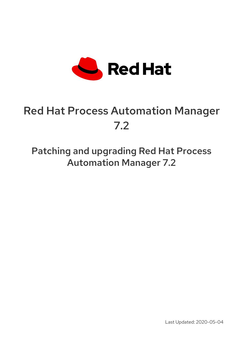

# Red Hat Process Automation Manager 7.2

Patching and upgrading Red Hat Process Automation Manager 7.2

Last Updated: 2020-05-04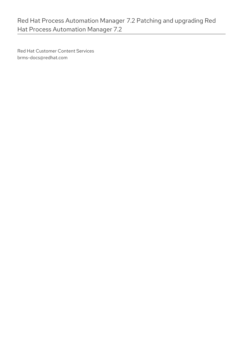Red Hat Customer Content Services brms-docs@redhat.com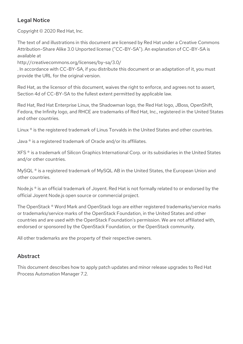### Legal Notice

Copyright © 2020 Red Hat, Inc.

The text of and illustrations in this document are licensed by Red Hat under a Creative Commons Attribution–Share Alike 3.0 Unported license ("CC-BY-SA"). An explanation of CC-BY-SA is available at

http://creativecommons.org/licenses/by-sa/3.0/

. In accordance with CC-BY-SA, if you distribute this document or an adaptation of it, you must provide the URL for the original version.

Red Hat, as the licensor of this document, waives the right to enforce, and agrees not to assert, Section 4d of CC-BY-SA to the fullest extent permitted by applicable law.

Red Hat, Red Hat Enterprise Linux, the Shadowman logo, the Red Hat logo, JBoss, OpenShift, Fedora, the Infinity logo, and RHCE are trademarks of Red Hat, Inc., registered in the United States and other countries.

Linux ® is the registered trademark of Linus Torvalds in the United States and other countries.

Java ® is a registered trademark of Oracle and/or its affiliates.

XFS ® is a trademark of Silicon Graphics International Corp. or its subsidiaries in the United States and/or other countries.

MySQL<sup>®</sup> is a registered trademark of MySQL AB in the United States, the European Union and other countries.

Node.js ® is an official trademark of Joyent. Red Hat is not formally related to or endorsed by the official Joyent Node.js open source or commercial project.

The OpenStack ® Word Mark and OpenStack logo are either registered trademarks/service marks or trademarks/service marks of the OpenStack Foundation, in the United States and other countries and are used with the OpenStack Foundation's permission. We are not affiliated with, endorsed or sponsored by the OpenStack Foundation, or the OpenStack community.

All other trademarks are the property of their respective owners.

### Abstract

This document describes how to apply patch updates and minor release upgrades to Red Hat Process Automation Manager 7.2.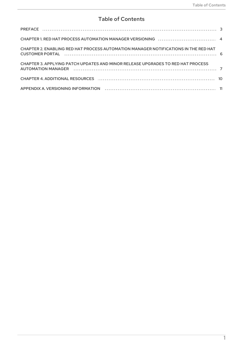### **Table of Contents**

| CHAPTER 2. ENABLING RED HAT PROCESS AUTOMATION MANAGER NOTIFICATIONS IN THE RED HAT |  |
|-------------------------------------------------------------------------------------|--|
| CHAPTER 3. APPLYING PATCH UPDATES AND MINOR RELEASE UPGRADES TO RED HAT PROCESS     |  |
|                                                                                     |  |
|                                                                                     |  |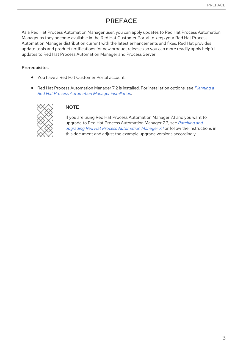# PREFACE

<span id="page-6-0"></span>As a Red Hat Process Automation Manager user, you can apply updates to Red Hat Process Automation Manager as they become available in the Red Hat Customer Portal to keep your Red Hat Process Automation Manager distribution current with the latest enhancements and fixes. Red Hat provides update tools and product notifications for new product releases so you can more readily apply helpful updates to Red Hat Process Automation Manager and Process Server.

#### Prerequisites

- You have a Red Hat Customer Portal account.
- Red Hat Process [Automation](https://access.redhat.com/documentation/en-us/red_hat_process_automation_manager/7.2/html-single/planning_a_red_hat_process_automation_manager_installation) Manager 7.2 is installed. For installation options, see *Planning a Red Hat Process Automation Manager installation*.



#### **NOTE**

If you are using Red Hat Process Automation Manager 7.1 and you want to upgrade to Red Hat Process [Automation](https://access.redhat.com/documentation/en-us/red_hat_process_automation_manager/7.1/html-single/patching_and_upgrading_red_hat_process_automation_manager_7.1/) Manager 7.2, see *Patching and upgrading Red Hat Process Automation Manager 7.1* or follow the instructions in this document and adjust the example upgrade versions accordingly.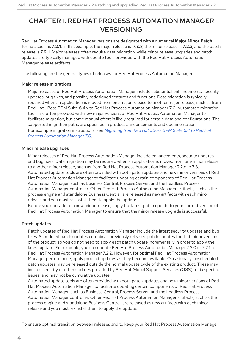## <span id="page-7-0"></span>CHAPTER 1. RED HAT PROCESS AUTOMATION MANAGER VERSIONING

Red Hat Process Automation Manager versions are designated with a numerical **Major.Minor.Patch** format, such as **7.2.1**. In this example, the major release is **7.x.x**, the minor release is **7.2.x**, and the patch release is **7.2.1**. Major releases often require data migration, while minor release upgrades and patch updates are typically managed with update tools provided with the Red Hat Process Automation Manager release artifacts.

The following are the general types of releases for Red Hat Process Automation Manager:

#### Major release migrations

Major releases of Red Hat Process Automation Manager include substantial enhancements, security updates, bug fixes, and possibly redesigned features and functions. Data migration is typically required when an application is moved from one major release to another major release, such as from Red Hat JBoss BPM Suite 6.4.x to Red Hat Process Automation Manager 7.0. Automated migration tools are often provided with new major versions of Red Hat Process Automation Manager to facilitate migration, but some manual effort is likely required for certain data and configurations. The supported migration paths are specified in product announcements and documentation. For example migration [instructions,](https://access.redhat.com/documentation/en-us/red_hat_process_automation_manager/7.0/html/migrating_from_red_hat_jboss_bpm_suite_6.4_to_red_hat_process_automation_manager_7.0/) see *Migrating from Red Hat JBoss BPM Suite 6.4 to Red Hat Process Automation Manager 7.0*.

#### Minor release upgrades

Minor releases of Red Hat Process Automation Manager include enhancements, security updates, and bug fixes. Data migration may be required when an application is moved from one minor release to another minor release, such as from Red Hat Process Automation Manager 7.2.x to 7.3. Automated update tools are often provided with both patch updates and new minor versions of Red Hat Process Automation Manager to facilitate updating certain components of Red Hat Process Automation Manager, such as Business Central, Process Server, and the headless Process Automation Manager controller. Other Red Hat Process Automation Manager artifacts, such as the process engine and standalone Business Central, are released as new artifacts with each minor release and you must re-install them to apply the update.

Before you upgrade to a new minor release, apply the latest patch update to your current version of Red Hat Process Automation Manager to ensure that the minor release upgrade is successful.

#### Patch updates

Patch updates of Red Hat Process Automation Manager include the latest security updates and bug fixes. Scheduled patch updates contain all previously released patch updates for that minor version of the product, so you do not need to apply each patch update incrementally in order to apply the latest update. For example, you can update Red Hat Process Automation Manager 7.2.0 or 7.2.1 to Red Hat Process Automation Manager 7.2.2. However, for optimal Red Hat Process Automation Manager performance, apply product updates as they become available. Occasionally, unscheduled patch updates may be released outside the normal update cycle of the existing product. These may include security or other updates provided by Red Hat Global Support Services (GSS) to fix specific issues, and may not be cumulative updates.

Automated update tools are often provided with both patch updates and new minor versions of Red Hat Process Automation Manager to facilitate updating certain components of Red Hat Process Automation Manager, such as Business Central, Process Server, and the headless Process Automation Manager controller. Other Red Hat Process Automation Manager artifacts, such as the process engine and standalone Business Central, are released as new artifacts with each minor release and you must re-install them to apply the update.

To ensure optimal transition between releases and to keep your Red Hat Process Automation Manager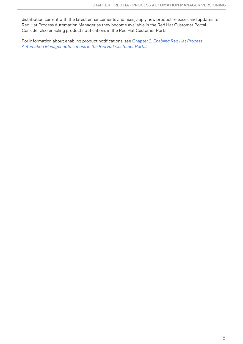distribution current with the latest enhancements and fixes, apply new product releases and updates to Red Hat Process Automation Manager as they become available in the Red Hat Customer Portal. Consider also enabling product notifications in the Red Hat Customer Portal.

For information about enabling product [notifications,](#page-9-1) see Chapter 2, *Enabling Red Hat Process Automation Manager notifications in the Red Hat Customer Portal*.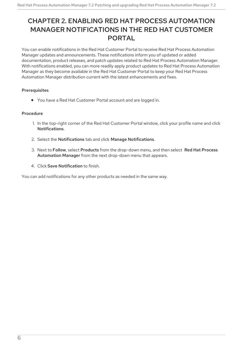# <span id="page-9-1"></span><span id="page-9-0"></span>CHAPTER 2. ENABLING RED HAT PROCESS AUTOMATION MANAGER NOTIFICATIONS IN THE RED HAT CUSTOMER PORTAL

You can enable notifications in the Red Hat Customer Portal to receive Red Hat Process Automation Manager updates and announcements. These notifications inform you of updated or added documentation, product releases, and patch updates related to Red Hat Process Automation Manager. With notifications enabled, you can more readily apply product updates to Red Hat Process Automation Manager as they become available in the Red Hat Customer Portal to keep your Red Hat Process Automation Manager distribution current with the latest enhancements and fixes.

#### **Prerequisites**

You have a Red Hat Customer Portal account and are logged in.

#### Procedure

- 1. In the top-right corner of the Red Hat Customer Portal window, click your profile name and click **Notifications**
- 2. Select the Notifications tab and click Manage Notifications.
- 3. Next to Follow, select Products from the drop-down menu, and then select Red Hat Process Automation Manager from the next drop-down menu that appears.
- 4. Click Save Notification to finish.

You can add notifications for any other products as needed in the same way.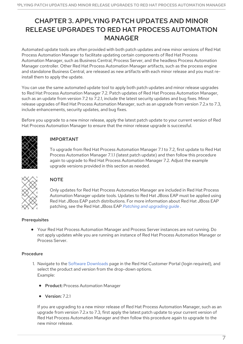# <span id="page-10-0"></span>CHAPTER 3. APPLYING PATCH UPDATES AND MINOR RELEASE UPGRADES TO RED HAT PROCESS AUTOMATION MANAGER

Automated update tools are often provided with both patch updates and new minor versions of Red Hat Process Automation Manager to facilitate updating certain components of Red Hat Process Automation Manager, such as Business Central, Process Server, and the headless Process Automation Manager controller. Other Red Hat Process Automation Manager artifacts, such as the process engine and standalone Business Central, are released as new artifacts with each minor release and you must reinstall them to apply the update.

You can use the same automated update tool to apply both patch updates and minor release upgrades to Red Hat Process Automation Manager 7.2. Patch updates of Red Hat Process Automation Manager, such as an update from version 7.2 to 7.2.1, include the latest security updates and bug fixes. Minor release upgrades of Red Hat Process Automation Manager, such as an upgrade from version 7.2.x to 7.3, include enhancements, security updates, and bug fixes.

Before you upgrade to a new minor release, apply the latest patch update to your current version of Red Hat Process Automation Manager to ensure that the minor release upgrade is successful.



### IMPORTANT

To upgrade from Red Hat Process Automation Manager 7.1 to 7.2, first update to Red Hat Process Automation Manager 7.1.1 (latest patch update) and then follow this procedure again to upgrade to Red Hat Process Automation Manager 7.2. Adjust the example upgrade versions provided in this section as needed.



### **NOTE**

Only updates for Red Hat Process Automation Manager are included in Red Hat Process Automation Manager update tools. Updates to Red Hat JBoss EAP must be applied using Red Hat JBoss EAP patch distributions. For more information about Red Hat JBoss EAP patching, see the Red Hat JBoss EAP *Patching and [upgrading](https://access.redhat.com/documentation/en-us/red_hat_jboss_enterprise_application_platform/7.1/html/patching_and_upgrading_guide/) guide* .

#### Prerequisites

Your Red Hat Process Automation Manager and Process Server instances are not running. Do not apply updates while you are running an instance of Red Hat Process Automation Manager or Process Server.

### Procedure

- 1. Navigate to the Software [Downloads](https://access.redhat.com/jbossnetwork/restricted/listSoftware.html) page in the Red Hat Customer Portal (login required), and select the product and version from the drop-down options. Example:
	- **Product: Process Automation Manager**
	- Version: 7.2.1

If you are upgrading to a new minor release of Red Hat Process Automation Manager, such as an upgrade from version 7.2.x to 7.3, first apply the latest patch update to your current version of Red Hat Process Automation Manager and then follow this procedure again to upgrade to the new minor release.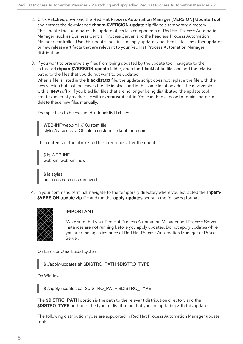- 2. Click Patches, download the Red Hat Process Automation Manager [VERSION] Update Tool and extract the downloaded **rhpam-\$VERSION-update.zip** file to a temporary directory. This update tool automates the update of certain components of Red Hat Process Automation Manager, such as Business Central, Process Server, and the headless Process Automation Manager controller. Use this update tool first to apply updates and then install any other updates or new release artifacts that are relevant to your Red Hat Process Automation Manager distribution.
- 3. If you want to preserve any files from being updated by the update tool, navigate to the extracted **rhpam-\$VERSION-update** folder, open the **blacklist.txt** file, and add the relative paths to the files that you do not want to be updated. When a file is listed in the **blacklist.txt** file, the update script does not replace the file with the new version but instead leaves the file in place and in the same location adds the new version with a **.new** suffix. If you blacklist files that are no longer being distributed, the update tool creates an empty marker file with a **.removed** suffix. You can then choose to retain, merge, or delete these new files manually.

Example files to be excluded in **blacklist.txt** file:

WEB-INF/web.xml // Custom file styles/base.css // Obsolete custom file kept for record

The contents of the blacklisted file directories after the update:

\$ ls WEB-INF web.xml web.xml.new

\$ ls styles base.css base.css.removed

4. In your command terminal, navigate to the temporary directory where you extracted the **rhpam- \$VERSION-update.zip** file and run the **apply-updates** script in the following format:



#### IMPORTANT

Make sure that your Red Hat Process Automation Manager and Process Server instances are not running before you apply updates. Do not apply updates while you are running an instance of Red Hat Process Automation Manager or Process Server.

On Linux or Unix-based systems:



On Windows:

\$ .\apply-updates.bat \$DISTRO\_PATH \$DISTRO\_TYPE

The **\$DISTRO PATH** portion is the path to the relevant distribution directory and the **\$DISTRO** TYPE portion is the type of distribution that you are updating with this update.

The following distribution types are supported in Red Hat Process Automation Manager update tool: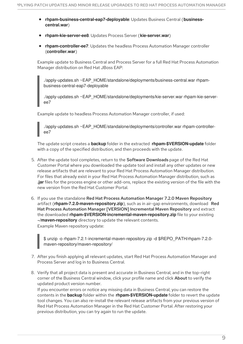- **rhpam-business-central-eap7-deployable**: Updates Business Central (**businesscentral.war**)
- **rhpam-kie-server-ee8**: Updates Process Server (**kie-server.war**)
- **rhpam-controller-ee7**: Updates the headless Process Automation Manager controller (**controller.war**)

Example update to Business Central and Process Server for a full Red Hat Process Automation Manager distribution on Red Hat JBoss EAP:

./apply-updates.sh ~EAP\_HOME/standalone/deployments/business-central.war rhpambusiness-central-eap7-deployable

./apply-updates.sh ~EAP\_HOME/standalone/deployments/kie-server.war rhpam-kie-serveree7

Example update to headless Process Automation Manager controller, if used:

./apply-updates.sh ~EAP\_HOME/standalone/deployments/controller.war rhpam-controlleree7

The update script creates a **backup** folder in the extracted **rhpam-\$VERSION-update** folder with a copy of the specified distribution, and then proceeds with the update.

- 5. After the update tool completes, return to the Software Downloads page of the Red Hat Customer Portal where you downloaded the update tool and install any other updates or new release artifacts that are relevant to your Red Hat Process Automation Manager distribution. For files that already exist in your Red Hat Process Automation Manager distribution, such as **.jar**files for the process engine or other add-ons, replace the existing version of the file with the new version from the Red Hat Customer Portal.
- 6. If you use the standalone Red Hat Process Automation Manager 7.2.0 Maven Repository artifact (**rhpam-7.2.0-maven-repository.zip**), such as in air-gap environments, download Red Hat Process Automation Manager [VERSION] Incremental Maven Repository and extract the downloaded **rhpam-\$VERSION-incremental-maven-repository.zip** file to your existing **~/maven-repository** directory to update the relevant contents. Example Maven repository update:

\$ unzip -o rhpam-7.2.1-incremental-maven-repository.zip -d \$REPO\_PATH/rhpam-7.2.0 maven-repository/maven-repository/

- 7. After you finish applying all relevant updates, start Red Hat Process Automation Manager and Process Server and log in to Business Central.
- 8. Verify that all project data is present and accurate in Business Central, and in the top-right corner of the Business Central window, click your profile name and click **About** to verify the updated product version number.

If you encounter errors or notice any missing data in Business Central, you can restore the contents in the **backup** folder within the **rhpam-\$VERSION-update** folder to revert the update tool changes. You can also re-install the relevant release artifacts from your previous version of Red Hat Process Automation Manager in the Red Hat Customer Portal. After restoring your previous distribution, you can try again to run the update.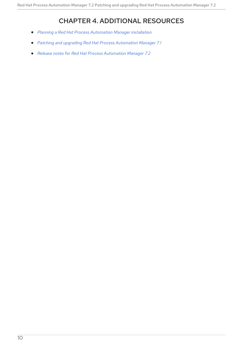# CHAPTER 4. ADDITIONAL RESOURCES

- <span id="page-13-0"></span>*Planning a Red Hat Process [Automation](https://access.redhat.com/documentation/en-us/red_hat_process_automation_manager/7.2/html-single/planning_a_red_hat_process_automation_manager_installation) Manager installation*
- *Patching and upgrading Red Hat Process [Automation](https://access.redhat.com/documentation/en-us/red_hat_process_automation_manager/7.1/html-single/patching_and_upgrading_red_hat_process_automation_manager_7.1/) Manager 7.1*
- *Release notes for Red Hat Process [Automation](https://access.redhat.com/documentation/en-us/red_hat_process_automation_manager/7.2/html-single/release_notes_for_red_hat_process_automation_manager_7.2) Manager 7.2*  $\bullet$